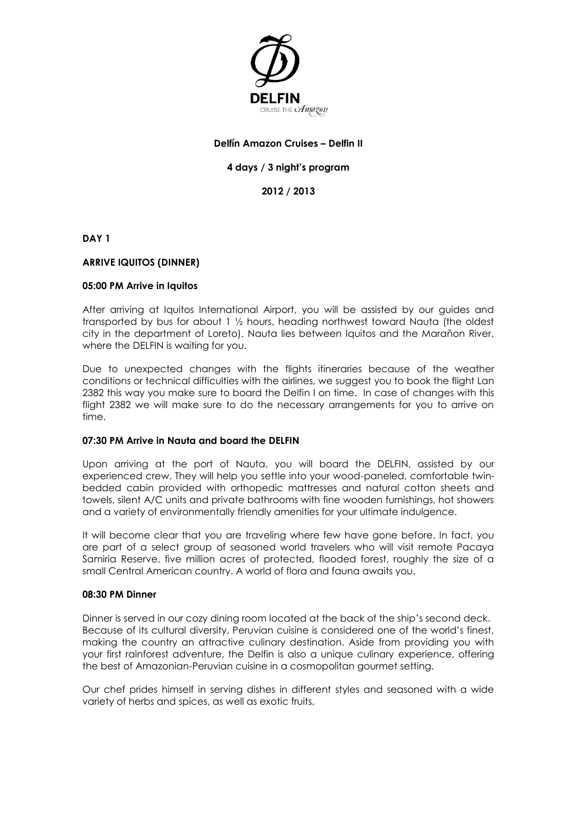

# **Delfín Amazon Cruises – Delfin II**

## **4 days / 3 night's program**

**2012 / 2013**

**DAY 1** 

### **ARRIVE IQUITOS (DINNER)**

#### **05:00 PM Arrive in Iquitos**

After arriving at Iquitos International Airport, you will be assisted by our guides and transported by bus for about 1 ½ hours, heading northwest toward Nauta (the oldest city in the department of Loreto). Nauta lies between Iquitos and the Marañon River, where the DELFIN is waiting for you.

Due to unexpected changes with the flights itineraries because of the weather conditions or technical difficulties with the airlines, we suggest you to book the flight Lan 2382 this way you make sure to board the Delfin I on time. In case of changes with this flight 2382 we will make sure to do the necessary arrangements for you to arrive on time.

#### **07:30 PM Arrive in Nauta and board the DELFIN**

Upon arriving at the port of Nauta, you will board the DELFIN, assisted by our experienced crew. They will help you settle into your wood-paneled, comfortable twinbedded cabin provided with orthopedic mattresses and natural cotton sheets and towels, silent A/C units and private bathrooms with fine wooden furnishings, hot showers and a variety of environmentally friendly amenities for your ultimate indulgence.

It will become clear that you are traveling where few have gone before. In fact, you are part of a select group of seasoned world travelers who will visit remote Pacaya Samiria Reserve, five million acres of protected, flooded forest, roughly the size of a small Central American country. A world of flora and fauna awaits you.

#### **08:30 PM Dinner**

Dinner is served in our cozy dining room located at the back of the ship's second deck. Because of its cultural diversity, Peruvian cuisine is considered one of the world's finest, making the country an attractive culinary destination. Aside from providing you with your first rainforest adventure, the Delfin is also a unique culinary experience, offering the best of Amazonian-Peruvian cuisine in a cosmopolitan gourmet setting.

Our chef prides himself in serving dishes in different styles and seasoned with a wide variety of herbs and spices, as well as exotic fruits,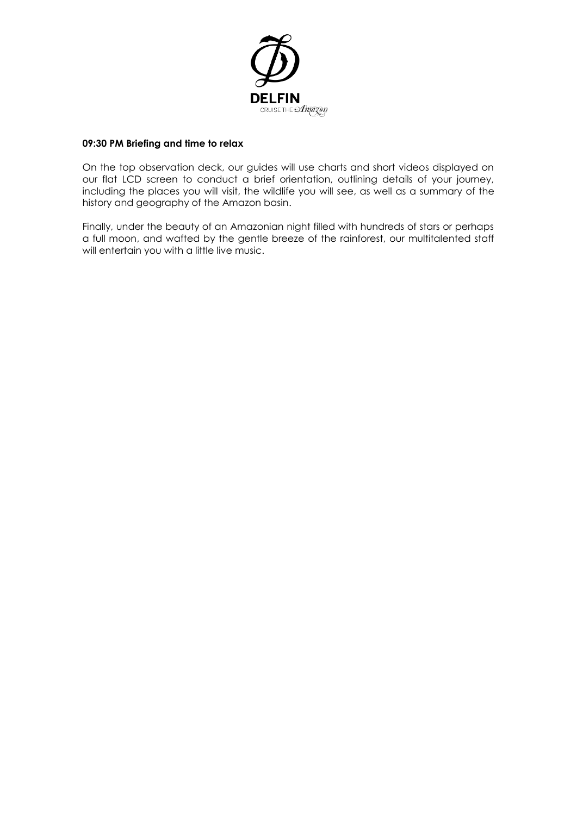

## **09:30 PM Briefing and time to relax**

On the top observation deck, our guides will use charts and short videos displayed on our flat LCD screen to conduct a brief orientation, outlining details of your journey, including the places you will visit, the wildlife you will see, as well as a summary of the history and geography of the Amazon basin.

Finally, under the beauty of an Amazonian night filled with hundreds of stars or perhaps a full moon, and wafted by the gentle breeze of the rainforest, our multitalented staff will entertain you with a little live music.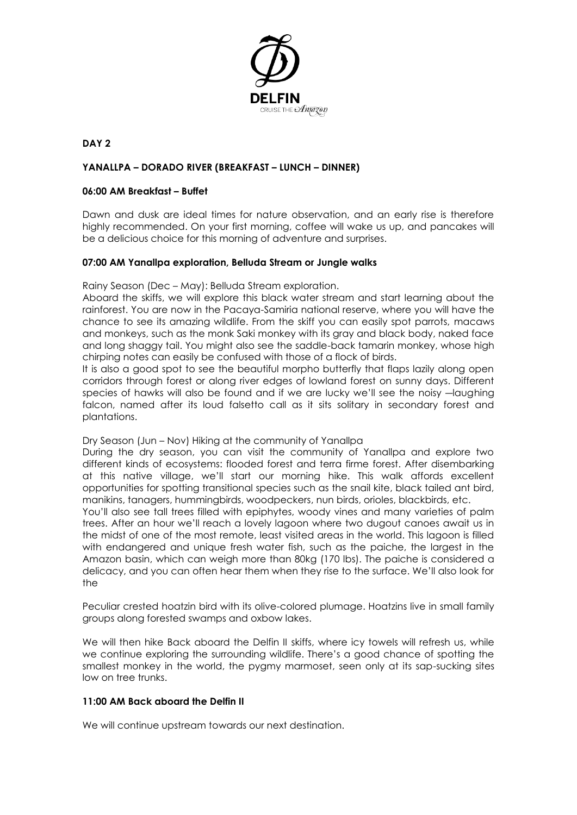

# **DAY 2**

### **YANALLPA – DORADO RIVER (BREAKFAST – LUNCH – DINNER)**

#### **06:00 AM Breakfast – Buffet**

Dawn and dusk are ideal times for nature observation, and an early rise is therefore highly recommended. On your first morning, coffee will wake us up, and pancakes will be a delicious choice for this morning of adventure and surprises.

#### **07:00 AM Yanallpa exploration, Belluda Stream or Jungle walks**

Rainy Season (Dec – May): Belluda Stream exploration.

Aboard the skiffs, we will explore this black water stream and start learning about the rainforest. You are now in the Pacaya-Samiria national reserve, where you will have the chance to see its amazing wildlife. From the skiff you can easily spot parrots, macaws and monkeys, such as the monk Saki monkey with its gray and black body, naked face and long shaggy tail. You might also see the saddle-back tamarin monkey, whose high chirping notes can easily be confused with those of a flock of birds.

It is also a good spot to see the beautiful morpho butterfly that flaps lazily along open corridors through forest or along river edges of lowland forest on sunny days. Different species of hawks will also be found and if we are lucky we'll see the noisy ―laughing falcon, named after its loud falsetto call as it sits solitary in secondary forest and plantations.

#### Dry Season (Jun – Nov) Hiking at the community of Yanallpa

During the dry season, you can visit the community of Yanallpa and explore two different kinds of ecosystems: flooded forest and terra firme forest. After disembarking at this native village, we'll start our morning hike. This walk affords excellent opportunities for spotting transitional species such as the snail kite, black tailed ant bird, manikins, tanagers, hummingbirds, woodpeckers, nun birds, orioles, blackbirds, etc.

You'll also see tall trees filled with epiphytes, woody vines and many varieties of palm trees. After an hour we'll reach a lovely lagoon where two dugout canoes await us in the midst of one of the most remote, least visited areas in the world. This lagoon is filled with endangered and unique fresh water fish, such as the paiche, the largest in the Amazon basin, which can weigh more than 80kg (170 lbs). The paiche is considered a delicacy, and you can often hear them when they rise to the surface. We'll also look for the

Peculiar crested hoatzin bird with its olive-colored plumage. Hoatzins live in small family groups along forested swamps and oxbow lakes.

We will then hike Back aboard the Delfin II skiffs, where icy towels will refresh us, while we continue exploring the surrounding wildlife. There's a good chance of spotting the smallest monkey in the world, the pygmy marmoset, seen only at its sap-sucking sites low on tree trunks.

#### **11:00 AM Back aboard the Delfin II**

We will continue upstream towards our next destination.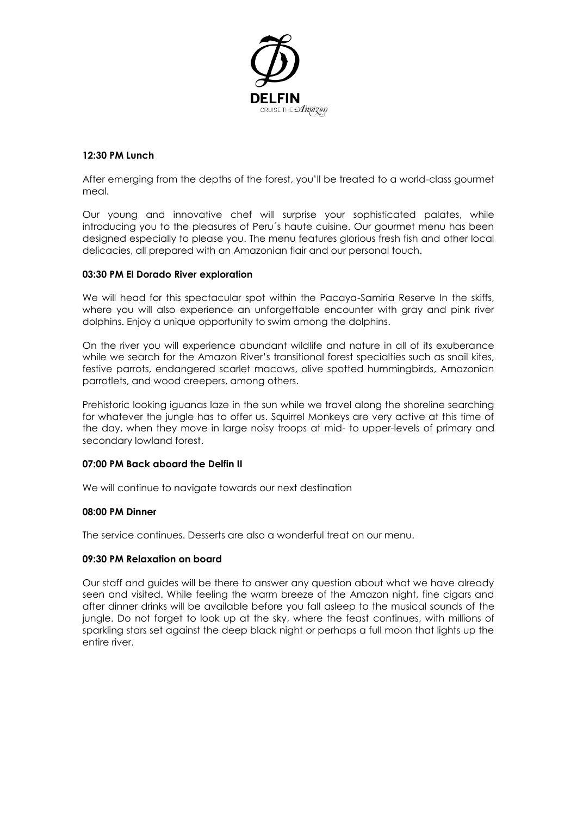

# **12:30 PM Lunch**

After emerging from the depths of the forest, you'll be treated to a world-class gourmet meal.

Our young and innovative chef will surprise your sophisticated palates, while introducing you to the pleasures of Peru´s haute cuisine. Our gourmet menu has been designed especially to please you. The menu features glorious fresh fish and other local delicacies, all prepared with an Amazonian flair and our personal touch.

### **03:30 PM El Dorado River exploration**

We will head for this spectacular spot within the Pacaya-Samiria Reserve In the skiffs, where you will also experience an unforgettable encounter with gray and pink river dolphins. Enjoy a unique opportunity to swim among the dolphins.

On the river you will experience abundant wildlife and nature in all of its exuberance while we search for the Amazon River's transitional forest specialties such as snail kites, festive parrots, endangered scarlet macaws, olive spotted hummingbirds, Amazonian parrotlets, and wood creepers, among others.

Prehistoric looking iguanas laze in the sun while we travel along the shoreline searching for whatever the jungle has to offer us. Squirrel Monkeys are very active at this time of the day, when they move in large noisy troops at mid- to upper-levels of primary and secondary lowland forest.

### **07:00 PM Back aboard the Delfin II**

We will continue to navigate towards our next destination

### **08:00 PM Dinner**

The service continues. Desserts are also a wonderful treat on our menu.

### **09:30 PM Relaxation on board**

Our staff and guides will be there to answer any question about what we have already seen and visited. While feeling the warm breeze of the Amazon night, fine cigars and after dinner drinks will be available before you fall asleep to the musical sounds of the jungle. Do not forget to look up at the sky, where the feast continues, with millions of sparkling stars set against the deep black night or perhaps a full moon that lights up the entire river.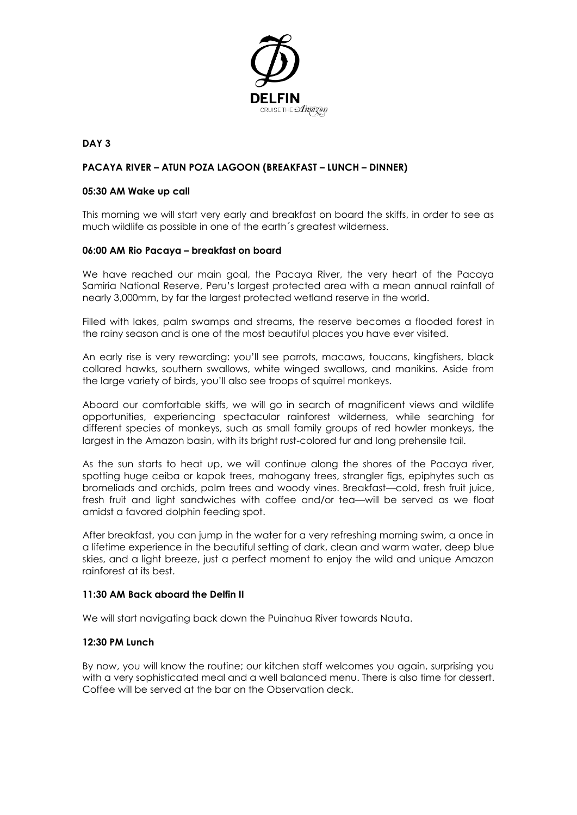

## **DAY 3**

### **PACAYA RIVER – ATUN POZA LAGOON (BREAKFAST – LUNCH – DINNER)**

#### **05:30 AM Wake up call**

This morning we will start very early and breakfast on board the skiffs, in order to see as much wildlife as possible in one of the earth´s greatest wilderness.

### **06:00 AM Rio Pacaya – breakfast on board**

We have reached our main goal, the Pacaya River, the very heart of the Pacaya Samiria National Reserve, Peru's largest protected area with a mean annual rainfall of nearly 3,000mm, by far the largest protected wetland reserve in the world.

Filled with lakes, palm swamps and streams, the reserve becomes a flooded forest in the rainy season and is one of the most beautiful places you have ever visited.

An early rise is very rewarding: you'll see parrots, macaws, toucans, kingfishers, black collared hawks, southern swallows, white winged swallows, and manikins. Aside from the large variety of birds, you'll also see troops of squirrel monkeys.

Aboard our comfortable skiffs, we will go in search of magnificent views and wildlife opportunities, experiencing spectacular rainforest wilderness, while searching for different species of monkeys, such as small family groups of red howler monkeys, the largest in the Amazon basin, with its bright rust-colored fur and long prehensile tail.

As the sun starts to heat up, we will continue along the shores of the Pacaya river, spotting huge ceiba or kapok trees, mahogany trees, strangler figs, epiphytes such as bromeliads and orchids, palm trees and woody vines. Breakfast—cold, fresh fruit juice, fresh fruit and light sandwiches with coffee and/or tea—will be served as we float amidst a favored dolphin feeding spot.

After breakfast, you can jump in the water for a very refreshing morning swim, a once in a lifetime experience in the beautiful setting of dark, clean and warm water, deep blue skies, and a light breeze, just a perfect moment to enjoy the wild and unique Amazon rainforest at its best.

### **11:30 AM Back aboard the Delfin II**

We will start navigating back down the Puinahua River towards Nauta.

### **12:30 PM Lunch**

By now, you will know the routine; our kitchen staff welcomes you again, surprising you with a very sophisticated meal and a well balanced menu. There is also time for dessert. Coffee will be served at the bar on the Observation deck.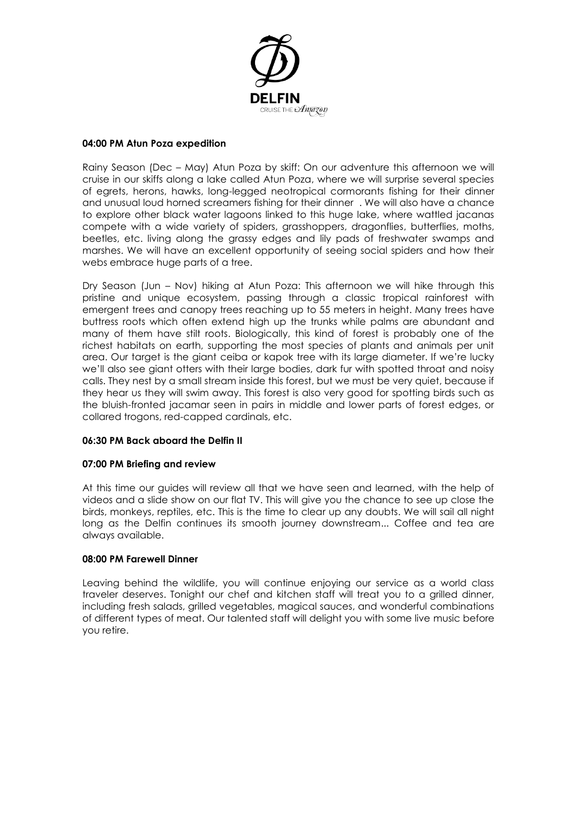

### **04:00 PM Atun Poza expedition**

Rainy Season (Dec – May) Atun Poza by skiff: On our adventure this afternoon we will cruise in our skiffs along a lake called Atun Poza, where we will surprise several species of egrets, herons, hawks, long-legged neotropical cormorants fishing for their dinner and unusual loud horned screamers fishing for their dinner . We will also have a chance to explore other black water lagoons linked to this huge lake, where wattled jacanas compete with a wide variety of spiders, grasshoppers, dragonflies, butterflies, moths, beetles, etc. living along the grassy edges and lily pads of freshwater swamps and marshes. We will have an excellent opportunity of seeing social spiders and how their webs embrace huge parts of a tree.

Dry Season (Jun – Nov) hiking at Atun Poza: This afternoon we will hike through this pristine and unique ecosystem, passing through a classic tropical rainforest with emergent trees and canopy trees reaching up to 55 meters in height. Many trees have buttress roots which often extend high up the trunks while palms are abundant and many of them have stilt roots. Biologically, this kind of forest is probably one of the richest habitats on earth, supporting the most species of plants and animals per unit area. Our target is the giant ceiba or kapok tree with its large diameter. If we're lucky we'll also see giant otters with their large bodies, dark fur with spotted throat and noisy calls. They nest by a small stream inside this forest, but we must be very quiet, because if they hear us they will swim away. This forest is also very good for spotting birds such as the bluish-fronted jacamar seen in pairs in middle and lower parts of forest edges, or collared trogons, red-capped cardinals, etc.

# **06:30 PM Back aboard the Delfin II**

### **07:00 PM Briefing and review**

At this time our guides will review all that we have seen and learned, with the help of videos and a slide show on our flat TV. This will give you the chance to see up close the birds, monkeys, reptiles, etc. This is the time to clear up any doubts. We will sail all night long as the Delfin continues its smooth journey downstream... Coffee and tea are always available.

## **08:00 PM Farewell Dinner**

Leaving behind the wildlife, you will continue enjoying our service as a world class traveler deserves. Tonight our chef and kitchen staff will treat you to a grilled dinner, including fresh salads, grilled vegetables, magical sauces, and wonderful combinations of different types of meat. Our talented staff will delight you with some live music before you retire.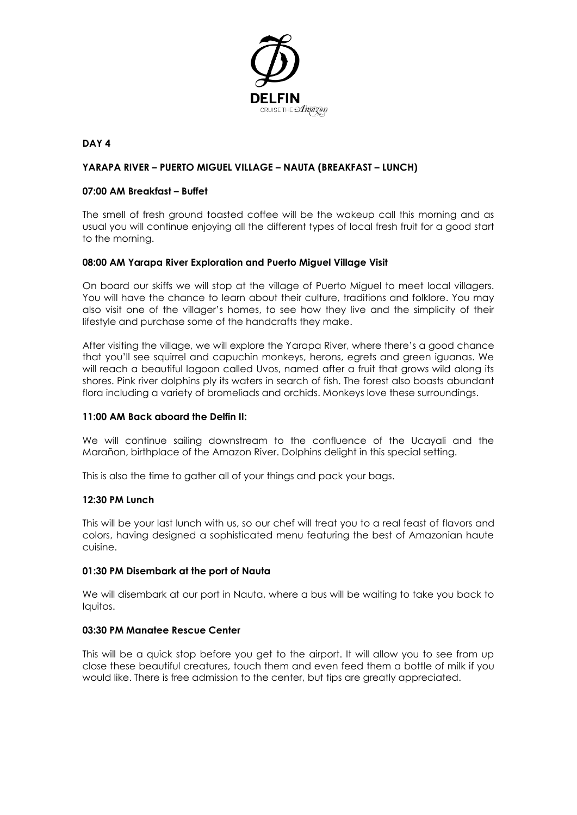

## **DAY 4**

## **YARAPA RIVER – PUERTO MIGUEL VILLAGE – NAUTA (BREAKFAST – LUNCH)**

#### **07:00 AM Breakfast – Buffet**

The smell of fresh ground toasted coffee will be the wakeup call this morning and as usual you will continue enjoying all the different types of local fresh fruit for a good start to the morning.

### **08:00 AM Yarapa River Exploration and Puerto Miguel Village Visit**

On board our skiffs we will stop at the village of Puerto Miguel to meet local villagers. You will have the chance to learn about their culture, traditions and folklore. You may also visit one of the villager's homes, to see how they live and the simplicity of their lifestyle and purchase some of the handcrafts they make.

After visiting the village, we will explore the Yarapa River, where there's a good chance that you'll see squirrel and capuchin monkeys, herons, egrets and green iguanas. We will reach a beautiful lagoon called Uvos, named after a fruit that grows wild along its shores. Pink river dolphins ply its waters in search of fish. The forest also boasts abundant flora including a variety of bromeliads and orchids. Monkeys love these surroundings.

### **11:00 AM Back aboard the Delfin II:**

We will continue sailing downstream to the confluence of the Ucayali and the Marañon, birthplace of the Amazon River. Dolphins delight in this special setting.

This is also the time to gather all of your things and pack your bags.

### **12:30 PM Lunch**

This will be your last lunch with us, so our chef will treat you to a real feast of flavors and colors, having designed a sophisticated menu featuring the best of Amazonian haute cuisine.

### **01:30 PM Disembark at the port of Nauta**

We will disembark at our port in Nauta, where a bus will be waiting to take you back to Iquitos.

#### **03:30 PM Manatee Rescue Center**

This will be a quick stop before you get to the airport. It will allow you to see from up close these beautiful creatures, touch them and even feed them a bottle of milk if you would like. There is free admission to the center, but tips are greatly appreciated.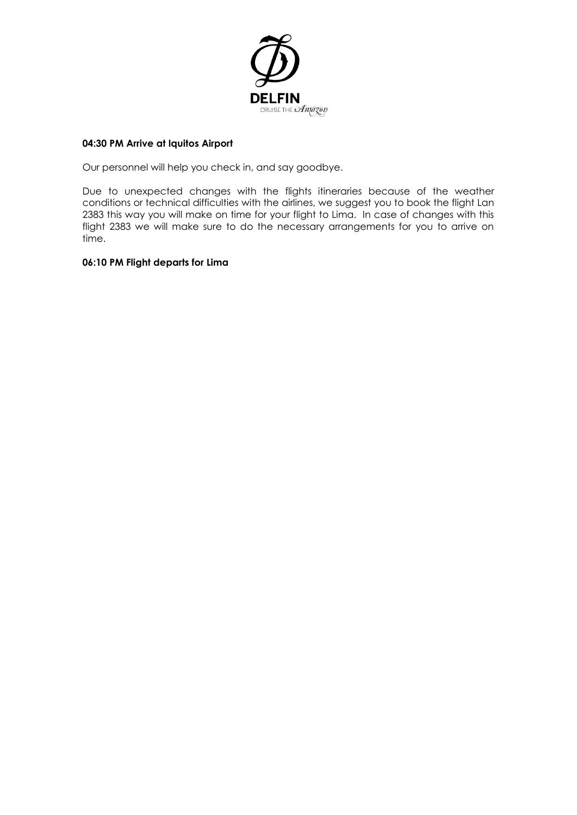

# **04:30 PM Arrive at Iquitos Airport**

Our personnel will help you check in, and say goodbye.

Due to unexpected changes with the flights itineraries because of the weather conditions or technical difficulties with the airlines, we suggest you to book the flight Lan 2383 this way you will make on time for your flight to Lima. In case of changes with this flight 2383 we will make sure to do the necessary arrangements for you to arrive on time.

# **06:10 PM Flight departs for Lima**